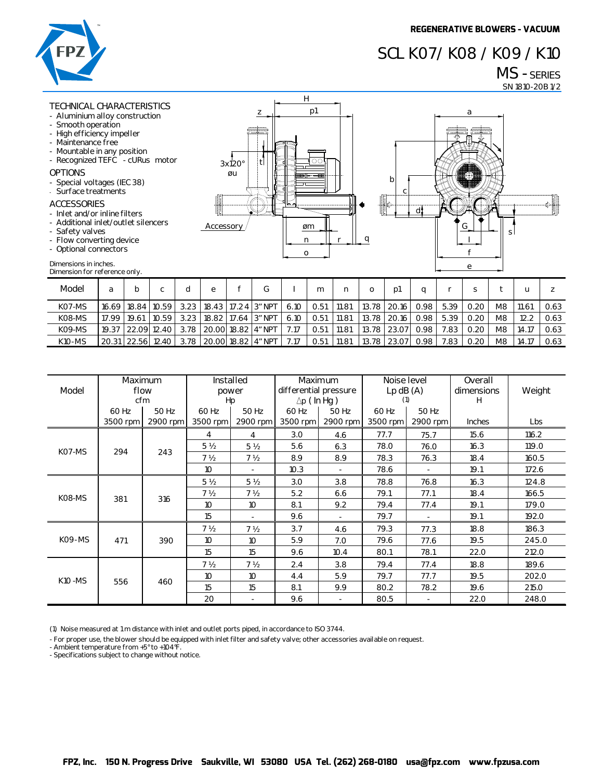## **SCL K07/ K08 / K09 / K10**

**a**

**G**

**s**

**d**

**c b**

# **MS - SERIES**

**SN 1810-20B 1/2** 



#### **TECHNICAL CHARACTERISTICS**

- **- Aluminium alloy construction - Smooth operation**
- **- High efficiency impeller**
- **- Maintenance free**
- 
- **- Mountable in any position - Recognized TEFC - cURus motor**

### **OPTIONS**

- **- Special voltages (IEC 38)**
- **- Surface treatments**

### **ACCESSORIES**

- **- Inlet and/or inline filters**
- **- Additional inlet/outlet silencers**
- **- Safety valves**
- **- Flow converting device**
- **- Optional connectors**

| - Optional connectors                                  |       |         |                   |      |   |  |                      |      |      |       |       |             |      |      |      |    |       |      |
|--------------------------------------------------------|-------|---------|-------------------|------|---|--|----------------------|------|------|-------|-------|-------------|------|------|------|----|-------|------|
| Dimensions in inches.<br>Dimension for reference only. |       |         |                   |      |   |  |                      |      |      |       |       |             |      |      | e    |    |       |      |
| Model                                                  | a     | b       | с                 | d    | e |  | G                    |      | m    | n     | 0     | p1          | a    |      | s    |    | u     |      |
| KO7-MS                                                 | 16.69 | 18.84 l | 10.59             | 3.23 |   |  | 18.43 17.24 3″ NPT   | 6.10 | 0.51 | 11.81 | 13.78 | 20.16       | 0.98 | 5.39 | 0.20 | M8 | 11.61 | 0.63 |
| K08-MS                                                 | 17.99 | 19.61   | 10.59             | 3.23 |   |  | 18.82 17.64 3" NPT   | 6.10 | 0.51 | 11.81 | 13.78 | 20.16       | 0.98 | 5.39 | 0.20 | M8 | 12.2  | 0.63 |
| K09-MS                                                 | 19.37 |         | 22.09 12.40       | 3.78 |   |  | 20.00 18.82   4" NPT | 7.17 | 0.51 | 11.81 | 13.78 | 23.07       | 0.98 | 7.83 | 0.20 | M8 | 14.17 | 0.63 |
| <b>K10-MS</b>                                          |       |         | 20.31 22.56 12.40 | 3.78 |   |  | 20.00 18.82 4″ NPT   | 7.17 | 0.51 | 11.81 |       | 13.78 23.07 | 0.98 | 7.83 | 0.20 | M8 | 14.17 | 0.63 |

**n øm**

**p1 H**

 $\overline{\circ}$ 

**r q**

| Model          | <b>Maximum</b><br>cfm | flow     | Installed<br>Hp | power          | differential pressure<br>$\Delta p$ (In Hg) | Maximum                  | Noise level<br>$Lp$ dB $(A)$<br>(1) |          | Overall<br>dimensions<br>H | Weight |
|----------------|-----------------------|----------|-----------------|----------------|---------------------------------------------|--------------------------|-------------------------------------|----------|----------------------------|--------|
|                | 60 Hz                 | 50 Hz    | 60 Hz           | 50 Hz          | 60 Hz                                       | 50 Hz                    | 60 Hz                               | 50 Hz    |                            |        |
|                | 3500 rpm              | 2900 rpm | 3500 rpm        | 2900 rpm       | 3500 rpm                                    | 2900 rpm                 | 3500 rpm                            | 2900 rpm | <b>Inches</b>              | Lbs    |
| KO7-MS         |                       | 243      | 4               | 4              | 3.0                                         | 4.6                      | 77.7                                | 75.7     | 15.6                       | 116.2  |
|                | 294                   |          | 5 <sub>2</sub>  | 5 <sub>2</sub> | 5.6                                         | 6.3                      | 78.0                                | 76.0     | 16.3                       | 119.0  |
|                |                       |          | 7 <sub>2</sub>  | 7 <sub>2</sub> | 8.9                                         | 8.9                      | 78.3                                | 76.3     | 18.4                       | 160.5  |
|                |                       |          | 10              |                | 10.3                                        |                          | 78.6                                |          | 19.1                       | 172.6  |
| K08-MS         | 381                   | 316      | 5 <sub>2</sub>  | 5 <sub>2</sub> | 3.0                                         | 3.8                      | 78.8                                | 76.8     | 16.3                       | 124.8  |
|                |                       |          | 7 ½             | 7 <sub>2</sub> | 5.2                                         | 6.6                      | 79.1                                | 77.1     | 18.4                       | 166.5  |
|                |                       |          | 10              | 10             | 8.1                                         | 9.2                      | 79.4                                | 77.4     | 19.1                       | 179.0  |
|                |                       |          | 15              |                | 9.6                                         | $\overline{\phantom{a}}$ | 79.7                                |          | 19.1                       | 192.0  |
| <b>KO9-MS</b>  |                       | 390      | 7 <sub>2</sub>  | 7 <sub>2</sub> | 3.7                                         | 4.6                      | 79.3                                | 77.3     | 18.8                       | 186.3  |
|                | 471                   |          | 10              | 10             | 5.9                                         | 7.0                      | 79.6                                | 77.6     | 19.5                       | 245.0  |
|                |                       |          | 15              | 15             | 9.6                                         | 10.4                     | 80.1                                | 78.1     | 22.0                       | 212.0  |
| <b>K10 -MS</b> | 556                   | 460      | 7 <sub>2</sub>  | 7 <sub>2</sub> | 2.4                                         | 3.8                      | 79.4                                | 77.4     | 18.8                       | 189.6  |
|                |                       |          | 10              | 10             | 4.4                                         | 5.9                      | 79.7                                | 77.7     | 19.5                       | 202.0  |
|                |                       |          | 15              | 15             | 8.1                                         | 9.9                      | 80.2                                | 78.2     | 19.6                       | 215.0  |
|                |                       |          | 20              |                | 9.6                                         | $\overline{\phantom{a}}$ | 80.5                                |          | 22.0                       | 248.0  |

**(1) Noise measured at 1 m distance with inlet and outlet ports piped, in accordance to ISO 3744.**

**- For proper use, the blower should be equipped with inlet filter and safety valve; other accessories available on request.**

**Accessory**

**3x120° øu**

**z**

**t**

**- Ambient temperature from +5° to +104°F.**

**- Specifications subject to change without notice.**